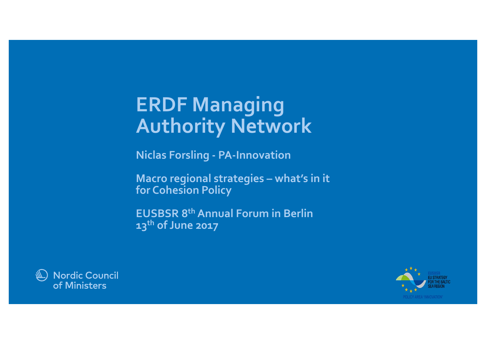# **ERDF Managing Authority Network**

**Niclas Forsling - PA-Innovation**

**Macro regional strategies – what's in it for Cohesion Policy**

**EUSBSR 8th Annual Forum in Berlin 13th of June 2017**



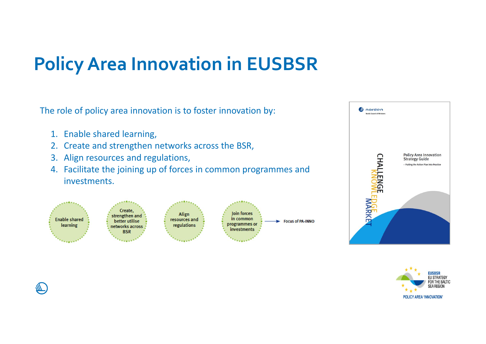## **Policy Area Innovation in EUSBSR**

The role of policy area innovation is to foster innovation by:

- 1. Enable shared learning,
- 2. Create and strengthen networks across the BSR,
- 3. Align resources and regulations,
- 4. Facilitate the joining up of forces in common programmes and investments.





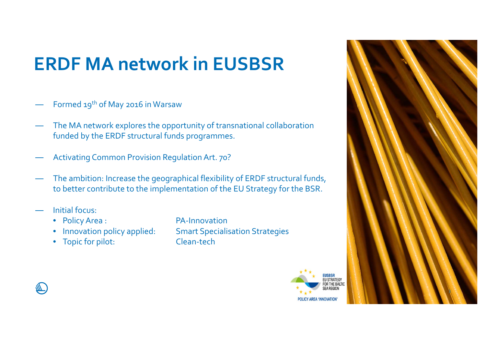## **ERDF MA network in EUSBSR**

- ―Formed 19<sup>th</sup> of May 2016 in Warsaw
- **―**  The MA network explores the opportunity of transnational collaboration funded by the ERDF structural funds programmes.
- **―** Activating Common Provision Regulation Art. 70?
- ― The ambition: Increase the geographical flexibility of ERDF structural funds, to better contribute to the implementation of the EU Strategy for the BSR.
- **―** Initial focus:

╨

- Policy Area : PA-Innovation
- Innovation policy applied:
- Topic for pilot: Clean-tech

**Smart Specialisation Strategies** 



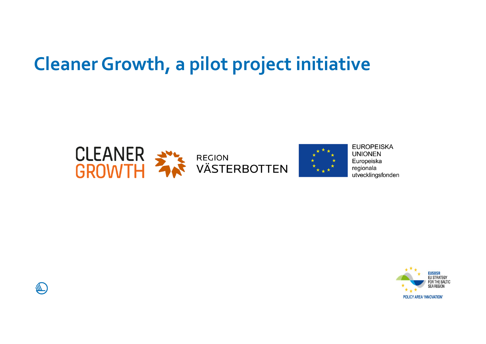## **Cleaner Growth, a pilot project initiative**





**EUROPEISKA UNIONEN** Europeiska regionala utvecklingsfonden



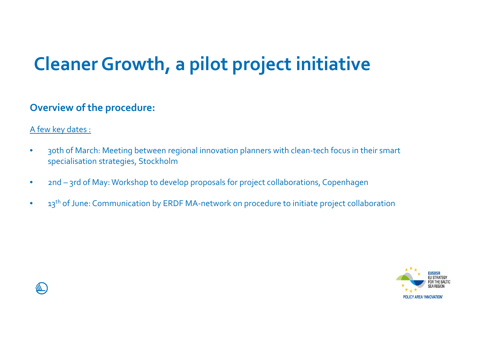## **Cleaner Growth, a pilot project initiative**

#### **Overview of the procedure:**

#### A few key dates :

- • 30th of March: Meeting between regional innovation planners with clean-tech focus in their smart specialisation strategies, Stockholm
- $\bullet$ 2nd – 3rd of May: Workshop to develop proposals for project collaborations, Copenhagen
- $\bullet$ 13<sup>th</sup> of June: Communication by ERDF MA-network on procedure to initiate project collaboration



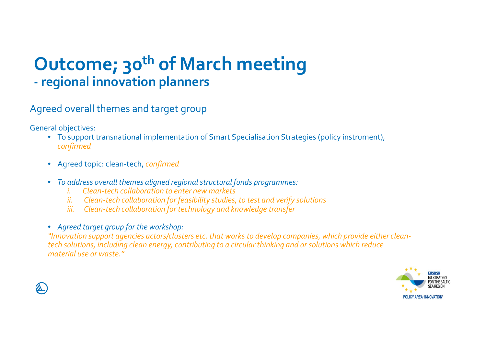#### **Outcome; 30<sup>th</sup> of March meeting regional innovation planners**

Agreed overall themes and target group

General objectives:

- To support transnational implementation of Smart Specialisation Strategies (policy instrument), *confirmed*
- Agreed topic: clean-tech, *confirmed*
- *To address overall themes aligned regional structural funds programmes:*
	- *i. Clean-tech collaboration to enter new markets*
	- *ii. Clean-tech collaboration for feasibility studies, to test and verify solutions*
	- *iii. Clean-tech collaboration for technology and knowledge transfer*
- *Agreed target group for the workshop:*

*"Innovation support agencies actors/clusters etc. that works to develop companies, which provide either cleantech solutions, including clean energy, contributing to a circular thinking and or solutions which reduce material use or waste."*



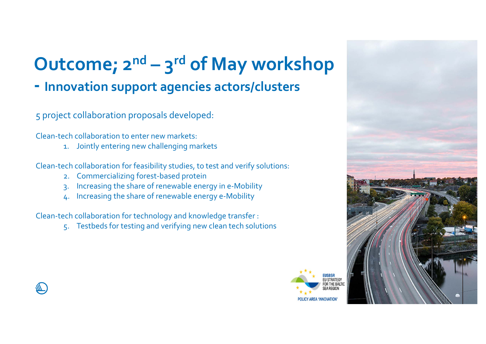# **Outcome; 2n<sup>d</sup> – <sup>3</sup>rd of May workshop**

### **- Innovation support agencies actors/clusters**

#### 5 project collaboration proposals developed:

Clean-tech collaboration to enter new markets:

1. Jointly entering new challenging markets

Clean-tech collaboration for feasibility studies, to test and verify solutions:

- 2. Commercializing forest-based protein
- 3. Increasing the share of renewable energy in e-Mobility
- 4. Increasing the share of renewable energy e-Mobility

Clean-tech collaboration for technology and knowledge transfer :

5. Testbeds for testing and verifying new clean tech solutions



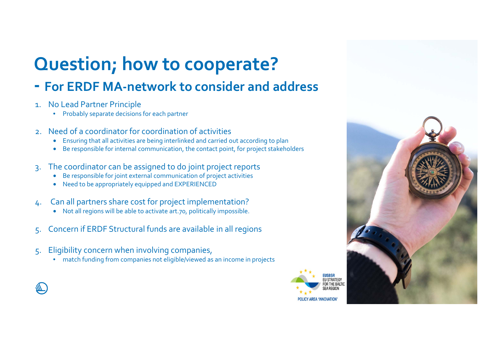# **Question; how to cooperate?**

#### **- For ERDF MA-network to consider and address**

- 1. No Lead Partner Principle
	- Probably separate decisions for each partner
- 2. Need of a coordinator for coordination of activities
	- Ensuring that all activities are being interlinked and carried out according to plan
	- Be responsible for internal communication, the contact point, for project stakeholders
- 3. The coordinator can be assigned to do joint project reports
	- Be responsible for joint external communication of project activities
	- Need to be appropriately equipped and EXPERIENCED
- 4. Can all partners share cost for project implementation?
	- Not all regions will be able to activate art.70, politically impossible.
- 5. Concern if ERDF Structural funds are available in all regions
- 5. Eligibility concern when involving companies,
	- match funding from companies not eligible/viewed as an income in projects



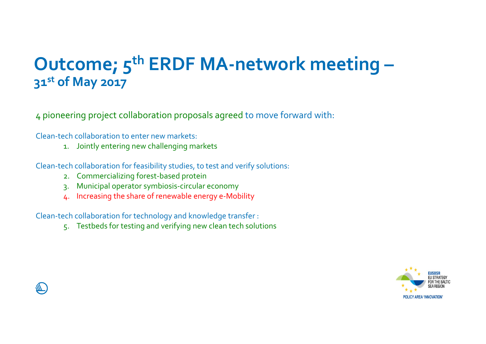## **Outcome; 5th ERDF MA-network meeting – 31st of May 2017**

<sup>4</sup> pioneering project collaboration proposals agreed to move forward with:

Clean-tech collaboration to enter new markets:

1. Jointly entering new challenging markets

Clean-tech collaboration for feasibility studies, to test and verify solutions:

- 2. Commercializing forest-based protein
- 3. Municipal operator symbiosis-circular economy
- 4. Increasing the share of renewable energy e-Mobility

Clean-tech collaboration for technology and knowledge transfer :

5. Testbeds for testing and verifying new clean tech solutions



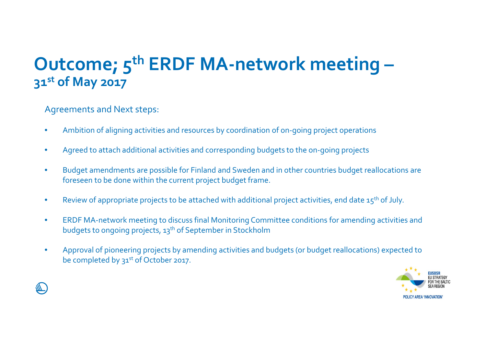## **Outcome; 5th ERDF MA-network meeting – 31st of May 2017**

Agreements and Next steps:

- •Ambition of aligning activities and resources by coordination of on-going project operations
- $\bullet$ Agreed to attach additional activities and corresponding budgets to the on-going projects
- $\bullet$  Budget amendments are possible for Finland and Sweden and in other countries budget reallocations are foreseen to be done within the current project budget frame.
- •Review of appropriate projects to be attached with additional project activities, end date 15<sup>th</sup> of July.
- $\bullet$  ERDF MA-network meeting to discuss final Monitoring Committee conditions for amending activities and budgets to ongoing projects, 13th of September in Stockholm
- • Approval of pioneering projects by amending activities and budgets (or budget reallocations) expected to be completed by 31<sup>st</sup> of October 2017.



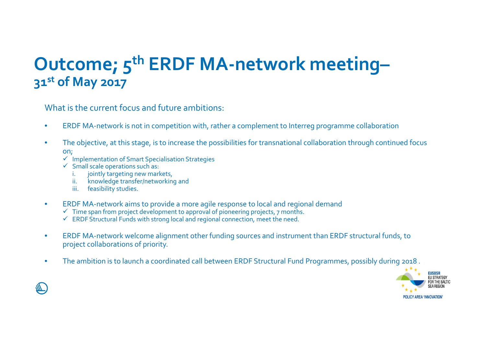## **Outcome; 5th ERDF MA-network meeting– 31st of May 2017**

What is the current focus and future ambitions:

- •ERDF MA-network is not in competition with, rather a complement to Interreg programme collaboration
- $\bullet$  The objective, at this stage, is to increase the possibilities for transnational collaboration through continued focus on;
	- $\checkmark$  Implementation of Smart Specialisation Strategies
	- $\checkmark$  Small scale operations such as:
		- i. jointly targeting new markets,
		- ii. knowledge transfer/networking and
		- iii. feasibility studies.
- • ERDF MA-network aims to provide a more agile response to local and regional demand
	- $\checkmark$  Time span from project development to approval of pioneering projects, 7 months.
	- $\checkmark$  ERDF Structural Funds with strong local and regional connection, meet the need.
- • ERDF MA-network welcome alignment other funding sources and instrument than ERDF structural funds, to project collaborations of priority.
- •The ambition is to launch a coordinated call between ERDF Structural Fund Programmes, possibly during 2018 .

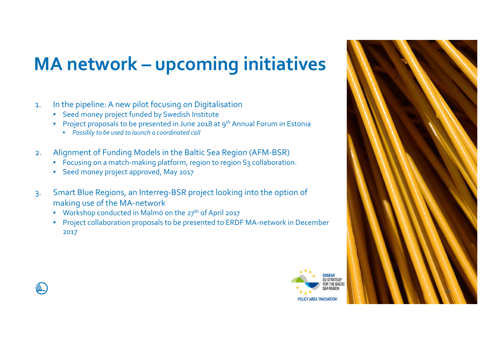# **MA network – upcoming initiatives**

- 1. In the pipeline: A new pilot focusing on Digitalisation
	- Seed money project funded by Swedish Institute
	- Project proposals to be presented in June 2018 at 9<sup>th</sup> Annual Forum in Estonia
		- *Possibly to be used to launch a coordinated call*
- 2. Alignment of Funding Models in the Baltic Sea Region (AFM-BSR)
	- $\bullet$   $\,$  Focusing on a match-making platform, region to region S3 collaboration.
	- Seed money project approved, May 2017
- 3. Smart Blue Regions, an Interreg-BSR project looking into the option of making use of the MA-network
	- $\bullet$  Workshop conducted in Malmö on the 27<sup>th</sup> of April 2017
	- Project collaboration proposals to be presented to ERDF MA-network in December 2017



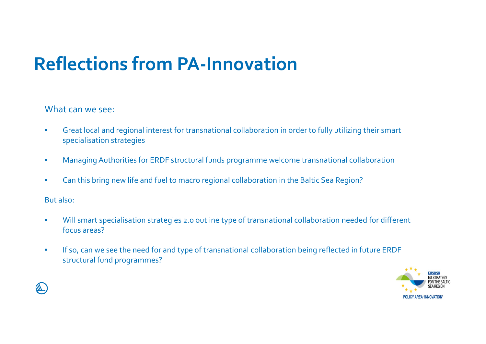## **Reflections from PA-Innovation**

#### What can we see:

- $\bullet$  Great local and regional interest for transnational collaboration in order to fully utilizing their smart specialisation strategies
- $\bullet$ Managing Authorities for ERDF structural funds programme welcome transnational collaboration
- $\bullet$ Can this bring new life and fuel to macro regional collaboration in the Baltic Sea Region?

But also:

- $\bullet$  Will smart specialisation strategies 2.0 outline type of transnational collaboration needed for different focus areas?
- $\bullet$  If so, can we see the need for and type of transnational collaboration being reflected in future ERDF structural fund programmes?



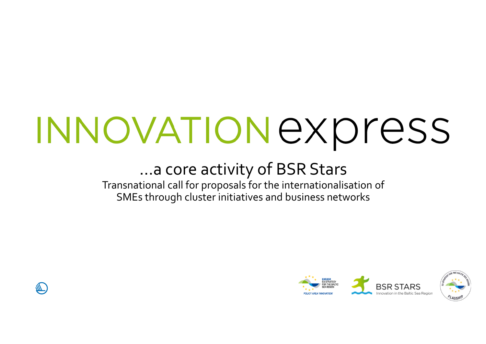# INNOVATION express

## …a core activity of BSR Stars

Transnational call for proposals for the internationalisation of SMEs through cluster initiatives and business networks